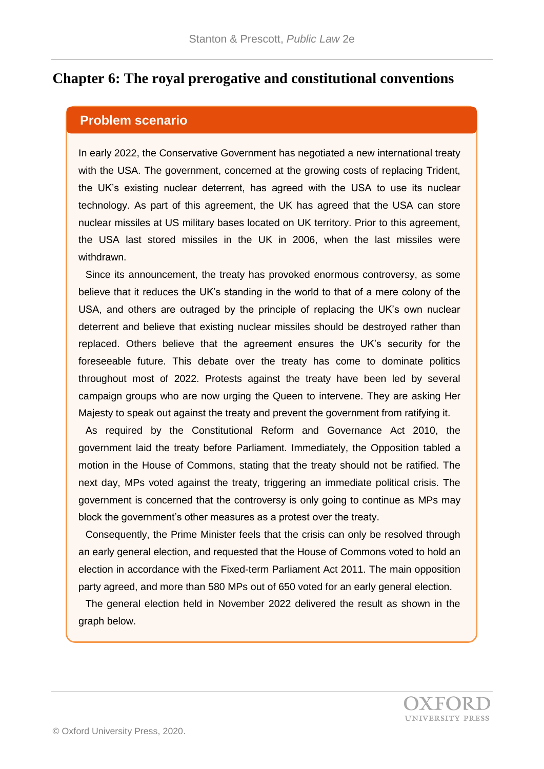## **Chapter 6: The royal prerogative and constitutional conventions**

## **Problem scenario**

In early 2022, the Conservative Government has negotiated a new international treaty with the USA. The government, concerned at the growing costs of replacing Trident, the UK's existing nuclear deterrent, has agreed with the USA to use its nuclear technology. As part of this agreement, the UK has agreed that the USA can store nuclear missiles at US military bases located on UK territory. Prior to this agreement, the USA last stored missiles in the UK in 2006, when the last missiles were withdrawn.

Since its announcement, the treaty has provoked enormous controversy, as some believe that it reduces the UK's standing in the world to that of a mere colony of the USA, and others are outraged by the principle of replacing the UK's own nuclear deterrent and believe that existing nuclear missiles should be destroyed rather than replaced. Others believe that the agreement ensures the UK's security for the foreseeable future. This debate over the treaty has come to dominate politics throughout most of 2022. Protests against the treaty have been led by several campaign groups who are now urging the Queen to intervene. They are asking Her Majesty to speak out against the treaty and prevent the government from ratifying it.

As required by the Constitutional Reform and Governance Act 2010, the government laid the treaty before Parliament. Immediately, the Opposition tabled a motion in the House of Commons, stating that the treaty should not be ratified. The next day, MPs voted against the treaty, triggering an immediate political crisis. The government is concerned that the controversy is only going to continue as MPs may block the government's other measures as a protest over the treaty.

Consequently, the Prime Minister feels that the crisis can only be resolved through an early general election, and requested that the House of Commons voted to hold an election in accordance with the Fixed-term Parliament Act 2011. The main opposition party agreed, and more than 580 MPs out of 650 voted for an early general election.

The general election held in November 2022 delivered the result as shown in the graph below.

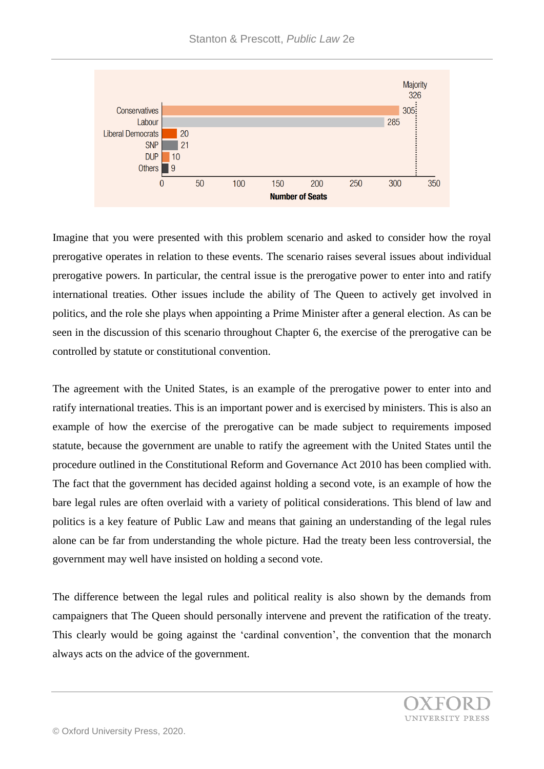

Imagine that you were presented with this problem scenario and asked to consider how the royal prerogative operates in relation to these events. The scenario raises several issues about individual prerogative powers. In particular, the central issue is the prerogative power to enter into and ratify international treaties. Other issues include the ability of The Queen to actively get involved in politics, and the role she plays when appointing a Prime Minister after a general election. As can be seen in the discussion of this scenario throughout Chapter 6, the exercise of the prerogative can be controlled by statute or constitutional convention.

The agreement with the United States, is an example of the prerogative power to enter into and ratify international treaties. This is an important power and is exercised by ministers. This is also an example of how the exercise of the prerogative can be made subject to requirements imposed statute, because the government are unable to ratify the agreement with the United States until the procedure outlined in the Constitutional Reform and Governance Act 2010 has been complied with. The fact that the government has decided against holding a second vote, is an example of how the bare legal rules are often overlaid with a variety of political considerations. This blend of law and politics is a key feature of Public Law and means that gaining an understanding of the legal rules alone can be far from understanding the whole picture. Had the treaty been less controversial, the government may well have insisted on holding a second vote.

The difference between the legal rules and political reality is also shown by the demands from campaigners that The Queen should personally intervene and prevent the ratification of the treaty. This clearly would be going against the 'cardinal convention', the convention that the monarch always acts on the advice of the government.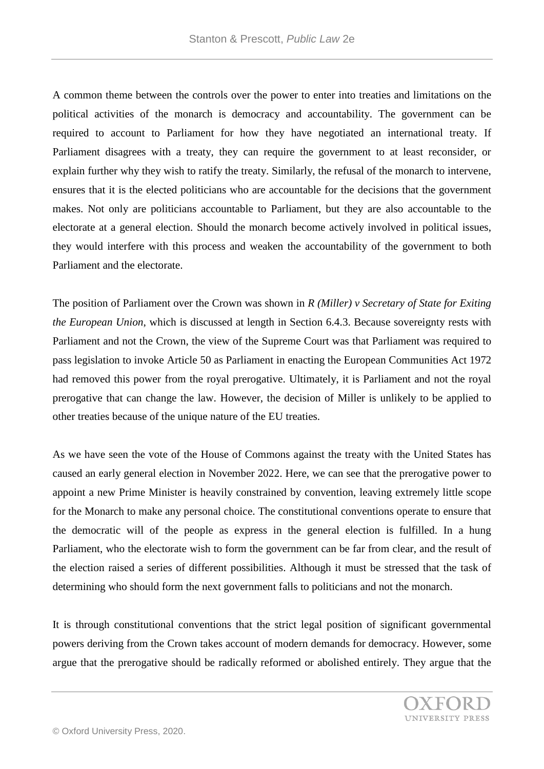A common theme between the controls over the power to enter into treaties and limitations on the political activities of the monarch is democracy and accountability. The government can be required to account to Parliament for how they have negotiated an international treaty. If Parliament disagrees with a treaty, they can require the government to at least reconsider, or explain further why they wish to ratify the treaty. Similarly, the refusal of the monarch to intervene, ensures that it is the elected politicians who are accountable for the decisions that the government makes. Not only are politicians accountable to Parliament, but they are also accountable to the electorate at a general election. Should the monarch become actively involved in political issues, they would interfere with this process and weaken the accountability of the government to both Parliament and the electorate.

The position of Parliament over the Crown was shown in *R (Miller) v Secretary of State for Exiting the European Union*, which is discussed at length in Section 6.4.3. Because sovereignty rests with Parliament and not the Crown, the view of the Supreme Court was that Parliament was required to pass legislation to invoke Article 50 as Parliament in enacting the European Communities Act 1972 had removed this power from the royal prerogative. Ultimately, it is Parliament and not the royal prerogative that can change the law. However, the decision of Miller is unlikely to be applied to other treaties because of the unique nature of the EU treaties.

As we have seen the vote of the House of Commons against the treaty with the United States has caused an early general election in November 2022. Here, we can see that the prerogative power to appoint a new Prime Minister is heavily constrained by convention, leaving extremely little scope for the Monarch to make any personal choice. The constitutional conventions operate to ensure that the democratic will of the people as express in the general election is fulfilled. In a hung Parliament, who the electorate wish to form the government can be far from clear, and the result of the election raised a series of different possibilities. Although it must be stressed that the task of determining who should form the next government falls to politicians and not the monarch.

It is through constitutional conventions that the strict legal position of significant governmental powers deriving from the Crown takes account of modern demands for democracy. However, some argue that the prerogative should be radically reformed or abolished entirely. They argue that the